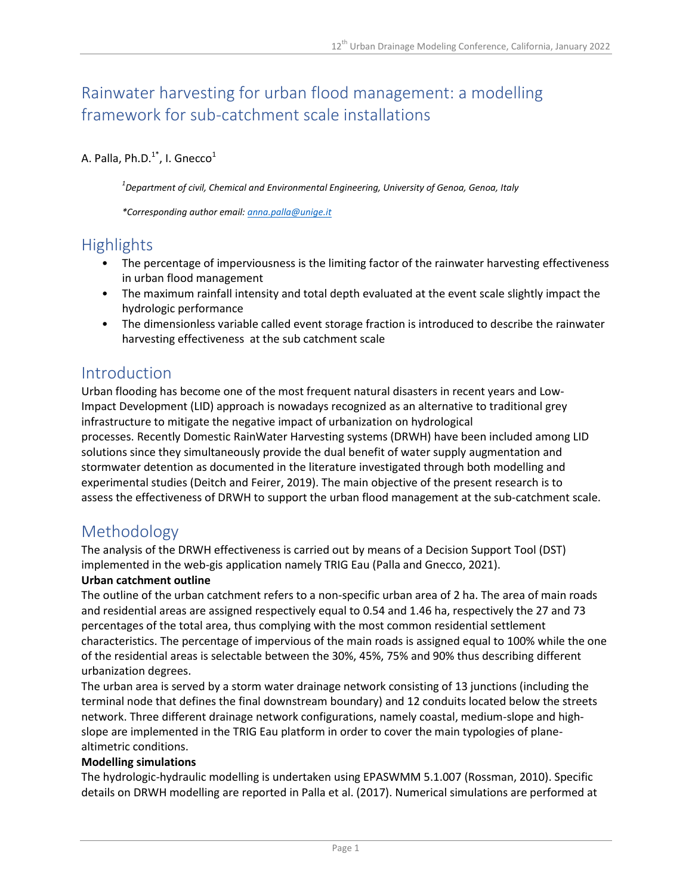# Rainwater harvesting for urban flood management: a modelling framework for sub-catchment scale installations

### A. Palla, Ph.D. $1^*$ , I. Gnecco $^1$

*1 Department of civil, Chemical and Environmental Engineering, University of Genoa, Genoa, Italy*

*\*Corresponding author email: [anna.palla@unige.it](mailto:anna.palla@unige.it)*

## **Highlights**

- The percentage of imperviousness is the limiting factor of the rainwater harvesting effectiveness in urban flood management
- The maximum rainfall intensity and total depth evaluated at the event scale slightly impact the hydrologic performance
- The dimensionless variable called event storage fraction is introduced to describe the rainwater harvesting effectiveness at the sub catchment scale

### Introduction

Urban flooding has become one of the most frequent natural disasters in recent years and Low-Impact Development (LID) approach is nowadays recognized as an alternative to traditional grey infrastructure to mitigate the negative impact of urbanization on hydrological processes. Recently Domestic RainWater Harvesting systems (DRWH) have been included among LID solutions since they simultaneously provide the dual benefit of water supply augmentation and stormwater detention as documented in the literature investigated through both modelling and experimental studies (Deitch and Feirer, 2019). The main objective of the present research is to assess the effectiveness of DRWH to support the urban flood management at the sub-catchment scale.

## Methodology

The analysis of the DRWH effectiveness is carried out by means of a Decision Support Tool (DST) implemented in the web-gis application namely TRIG Eau (Palla and Gnecco, 2021).

#### **Urban catchment outline**

The outline of the urban catchment refers to a non-specific urban area of 2 ha. The area of main roads and residential areas are assigned respectively equal to 0.54 and 1.46 ha, respectively the 27 and 73 percentages of the total area, thus complying with the most common residential settlement characteristics. The percentage of impervious of the main roads is assigned equal to 100% while the one of the residential areas is selectable between the 30%, 45%, 75% and 90% thus describing different urbanization degrees.

The urban area is served by a storm water drainage network consisting of 13 junctions (including the terminal node that defines the final downstream boundary) and 12 conduits located below the streets network. Three different drainage network configurations, namely coastal, medium-slope and highslope are implemented in the TRIG Eau platform in order to cover the main typologies of planealtimetric conditions.

#### **Modelling simulations**

The hydrologic-hydraulic modelling is undertaken using EPASWMM 5.1.007 (Rossman, 2010). Specific details on DRWH modelling are reported in Palla et al. (2017). Numerical simulations are performed at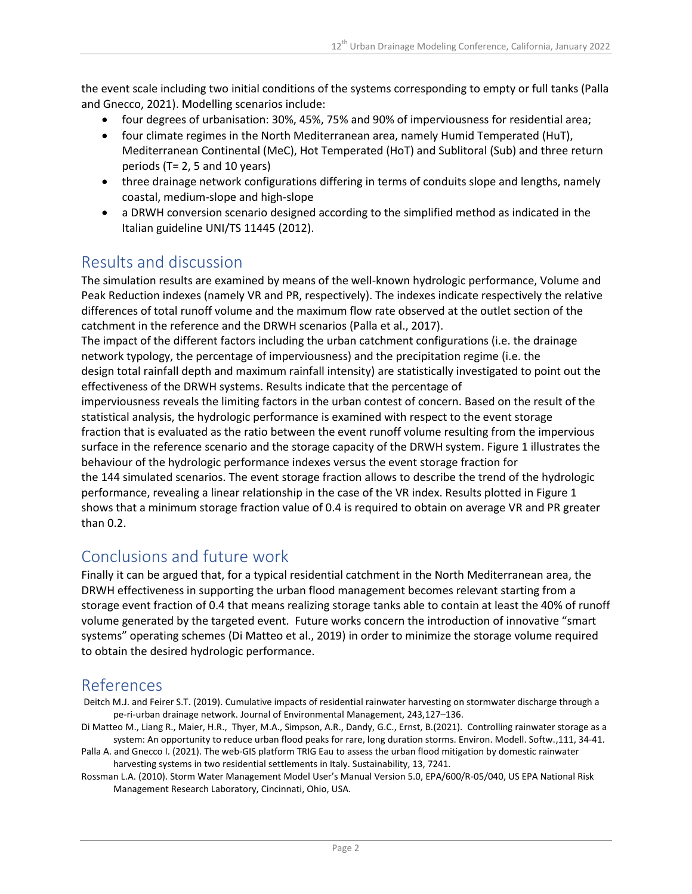the event scale including two initial conditions of the systems corresponding to empty or full tanks (Palla and Gnecco, 2021). Modelling scenarios include:

- four degrees of urbanisation: 30%, 45%, 75% and 90% of imperviousness for residential area;
- four climate regimes in the North Mediterranean area, namely Humid Temperated (HuT), Mediterranean Continental (MeC), Hot Temperated (HoT) and Sublitoral (Sub) and three return periods (T= 2, 5 and 10 years)
- three drainage network configurations differing in terms of conduits slope and lengths, namely coastal, medium-slope and high-slope
- a DRWH conversion scenario designed according to the simplified method as indicated in the Italian guideline UNI/TS 11445 (2012).

## Results and discussion

The simulation results are examined by means of the well-known hydrologic performance, Volume and Peak Reduction indexes (namely VR and PR, respectively). The indexes indicate respectively the relative differences of total runoff volume and the maximum flow rate observed at the outlet section of the catchment in the reference and the DRWH scenarios (Palla et al., 2017).

The impact of the different factors including the urban catchment configurations (i.e. the drainage network typology, the percentage of imperviousness) and the precipitation regime (i.e. the design total rainfall depth and maximum rainfall intensity) are statistically investigated to point out the effectiveness of the DRWH systems. Results indicate that the percentage of

imperviousness reveals the limiting factors in the urban contest of concern. Based on the result of the statistical analysis, the hydrologic performance is examined with respect to the event storage fraction that is evaluated as the ratio between the event runoff volume resulting from the impervious surface in the reference scenario and the storage capacity of the DRWH system. Figure 1 illustrates the behaviour of the hydrologic performance indexes versus the event storage fraction for the 144 simulated scenarios. The event storage fraction allows to describe the trend of the hydrologic performance, revealing a linear relationship in the case of the VR index. Results plotted in Figure 1 shows that a minimum storage fraction value of 0.4 is required to obtain on average VR and PR greater than 0.2.

## Conclusions and future work

Finally it can be argued that, for a typical residential catchment in the North Mediterranean area, the DRWH effectiveness in supporting the urban flood management becomes relevant starting from a storage event fraction of 0.4 that means realizing storage tanks able to contain at least the 40% of runoff volume generated by the targeted event. Future works concern the introduction of innovative "smart systems" operating schemes (Di Matteo et al., 2019) in order to minimize the storage volume required to obtain the desired hydrologic performance.

## References

- Deitch M.J. and Feirer S.T. (2019). Cumulative impacts of residential rainwater harvesting on stormwater discharge through a pe-ri-urban drainage network. Journal of Environmental Management, 243,127–136.
- Di Matteo M., Liang R., Maier, H.R., Thyer, M.A., Simpson, A.R., Dandy, G.C., Ernst, B.(2021). Controlling rainwater storage as a system: An opportunity to reduce urban flood peaks for rare, long duration storms. Environ. Modell. Softw.,111, 34-41.
- Palla A. and Gnecco I. (2021). The web-GIS platform TRIG Eau to assess the urban flood mitigation by domestic rainwater harvesting systems in two residential settlements in Italy. Sustainability, 13, 7241.
- Rossman L.A. (2010). Storm Water Management Model User's Manual Version 5.0, EPA/600/R-05/040, US EPA National Risk Management Research Laboratory, Cincinnati, Ohio, USA.